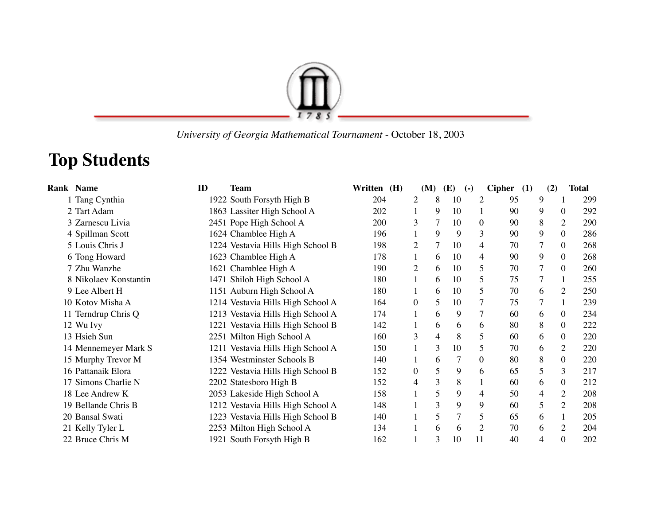

 *University of Georgia Mathematical Tournament* - October 18, 2003

## **Top Students**

| <b>Rank Name</b>      | ID | <b>Team</b>                       | Written (H) |                | (M)            | <b>(E)</b> | $(-)$          | <b>Cipher</b> | (1) | (2)            | <b>Total</b>          |
|-----------------------|----|-----------------------------------|-------------|----------------|----------------|------------|----------------|---------------|-----|----------------|-----------------------|
| 1 Tang Cynthia        |    | 1922 South Forsyth High B         | 204         | 2              | 8              | 10         | 2              | 95            | 9   |                | 299                   |
| 2 Tart Adam           |    | 1863 Lassiter High School A       | 202         |                | 9              | 10         |                | 90            | 9   | $\theta$       | 292                   |
| 3 Zarnescu Livia      |    | 2451 Pope High School A           | 200         | 3              | 7              | 10         | 0              | 90            | 8   |                | 290<br>2              |
| 4 Spillman Scott      |    | 1624 Chamblee High A              | 196         |                | 9              | 9          | $\overline{3}$ | 90            | 9   | $\overline{0}$ | 286                   |
| 5 Louis Chris J       |    | 1224 Vestavia Hills High School B | 198         | 2              | 7              | 10         | 4              | 70            | 7   |                | 268<br>$\theta$       |
| 6 Tong Howard         |    | 1623 Chamblee High A              | 178         |                | 6              | 10         | 4              | 90            | 9   |                | 268<br>$\theta$       |
| 7 Zhu Wanzhe          |    | 1621 Chamblee High A              | 190         | 2              | 6              | 10         | 5              | 70            | 7   | $\theta$       | 260                   |
| 8 Nikolaev Konstantin |    | 1471 Shiloh High School A         | 180         |                | 6              | 10         | 5              | 75            | 7   | 1              | 255                   |
| 9 Lee Albert H        |    | 1151 Auburn High School A         | 180         |                | 6              | 10         | 5              | 70            | 6   |                | 250<br>2              |
| 10 Kotov Misha A      |    | 1214 Vestavia Hills High School A | 164         | $\theta$       | 5.             | 10         |                | 75            |     |                | 239<br>1              |
| 11 Terndrup Chris Q   |    | 1213 Vestavia Hills High School A | 174         |                | 6              | 9          |                | 60            | 6   |                | 234<br>$\theta$       |
| 12 Wu Ivy             |    | 1221 Vestavia Hills High School B | 142         |                | 6              | 6          | 6              | 80            | 8   |                | 222<br>$\theta$       |
| 13 Hsieh Sun          |    | 2251 Milton High School A         | 160         | 3              | 4              | 8          | 5              | 60            | 6   |                | 220<br>$\theta$       |
| 14 Mennemeyer Mark S  |    | 1211 Vestavia Hills High School A | 150         |                | 3              | 10         | 5              | 70            | 6   |                | 2<br>220              |
| 15 Murphy Trevor M    |    | 1354 Westminster Schools B        | 140         | 1              | 6              |            | 0              | 80            | 8   |                | 220<br>$\theta$       |
| 16 Pattanaik Elora    |    | 1222 Vestavia Hills High School B | 152         | $\overline{0}$ | 5              | 9          | 6              | 65            | 5   |                | 3<br>217              |
| 17 Simons Charlie N   |    | 2202 Statesboro High B            | 152         | 4              | $\overline{3}$ | 8          |                | 60            | 6   |                | $\overline{0}$<br>212 |
| 18 Lee Andrew K       |    | 2053 Lakeside High School A       | 158         |                | 5              | 9          | 4              | 50            | 4   |                | 2<br>208              |
| 19 Bellande Chris B   |    | 1212 Vestavia Hills High School A | 148         |                | 3              | 9          | 9              | 60            |     | 5              | $\overline{2}$<br>208 |
| 20 Bansal Swati       |    | 1223 Vestavia Hills High School B | 140         |                | 5              | 7          | 5              | 65            | 6   |                | 205<br>1              |
| 21 Kelly Tyler L      |    | 2253 Milton High School A         | 134         |                | 6              | 6          | $\overline{2}$ | 70            | 6   |                | $\overline{2}$<br>204 |
| 22 Bruce Chris M      |    | 1921 South Forsyth High B         | 162         |                | 3              | 10         | 11             | 40            |     | 4              | 0<br>202              |